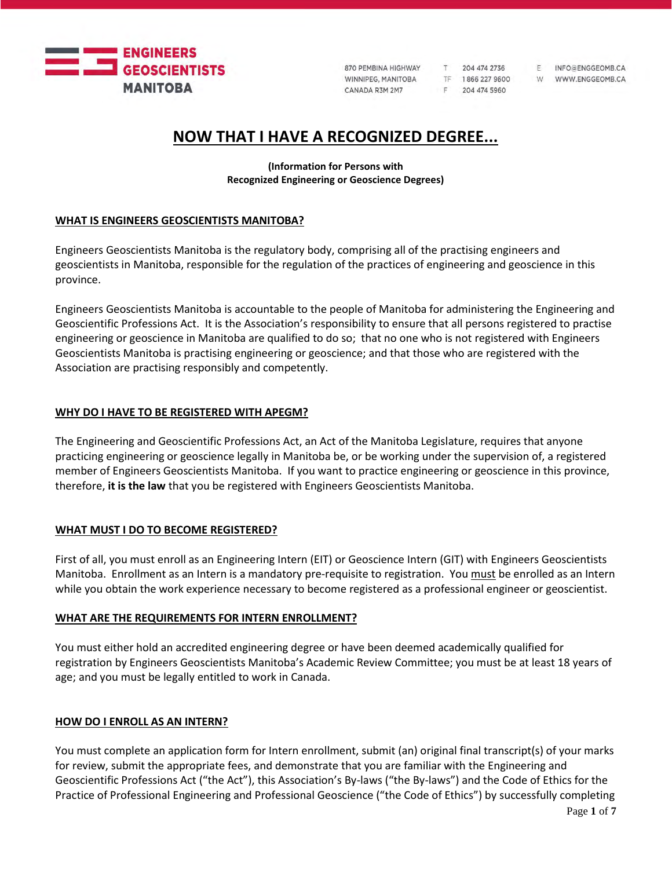

T 204 474 2736 TF 1866 227 9600 F 204 474 5960

F INFO@ENGGEOMB.CA W WWW.ENGGEOMB.CA

# **NOW THAT I HAVE A RECOGNIZED DEGREE...**

**(Information for Persons with Recognized Engineering or Geoscience Degrees)**

## **WHAT IS ENGINEERS GEOSCIENTISTS MANITOBA?**

Engineers Geoscientists Manitoba is the regulatory body, comprising all of the practising engineers and geoscientists in Manitoba, responsible for the regulation of the practices of engineering and geoscience in this province.

Engineers Geoscientists Manitoba is accountable to the people of Manitoba for administering the Engineering and Geoscientific Professions Act. It is the Association's responsibility to ensure that all persons registered to practise engineering or geoscience in Manitoba are qualified to do so; that no one who is not registered with Engineers Geoscientists Manitoba is practising engineering or geoscience; and that those who are registered with the Association are practising responsibly and competently.

# **WHY DO I HAVE TO BE REGISTERED WITH APEGM?**

The Engineering and Geoscientific Professions Act, an Act of the Manitoba Legislature, requires that anyone practicing engineering or geoscience legally in Manitoba be, or be working under the supervision of, a registered member of Engineers Geoscientists Manitoba. If you want to practice engineering or geoscience in this province, therefore, **it is the law** that you be registered with Engineers Geoscientists Manitoba.

# **WHAT MUST I DO TO BECOME REGISTERED?**

First of all, you must enroll as an Engineering Intern (EIT) or Geoscience Intern (GIT) with Engineers Geoscientists Manitoba. Enrollment as an Intern is a mandatory pre-requisite to registration. You must be enrolled as an Intern while you obtain the work experience necessary to become registered as a professional engineer or geoscientist.

#### **WHAT ARE THE REQUIREMENTS FOR INTERN ENROLLMENT?**

You must either hold an accredited engineering degree or have been deemed academically qualified for registration by Engineers Geoscientists Manitoba's Academic Review Committee; you must be at least 18 years of age; and you must be legally entitled to work in Canada.

#### **HOW DO I ENROLL AS AN INTERN?**

You must complete an application form for Intern enrollment, submit (an) original final transcript(s) of your marks for review, submit the appropriate fees, and demonstrate that you are familiar with the Engineering and Geoscientific Professions Act ("the Act"), this Association's By-laws ("the By-laws") and the Code of Ethics for the Practice of Professional Engineering and Professional Geoscience ("the Code of Ethics") by successfully completing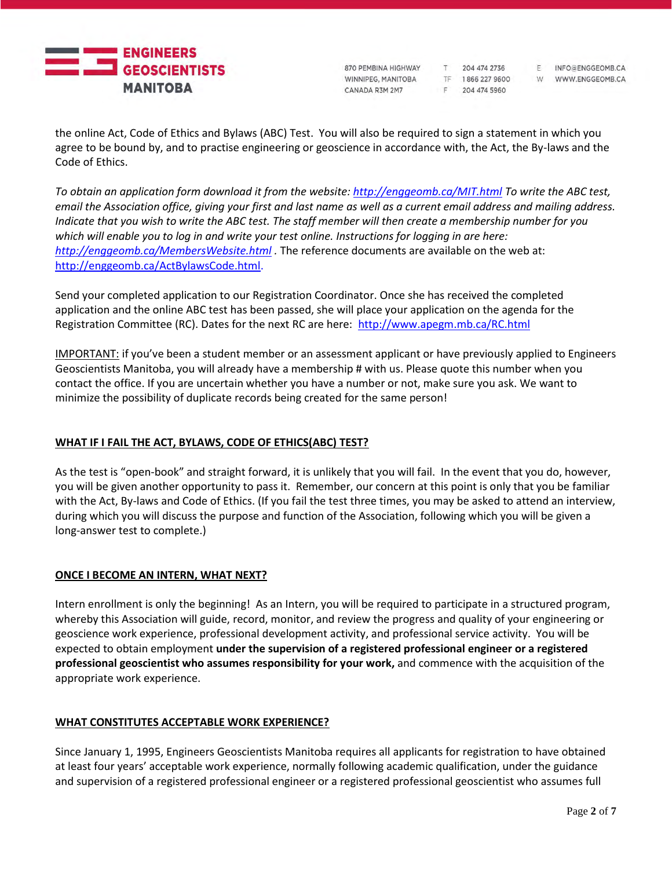

204 474 2736 TF 1866 227 9600 F 204 474 5960

 $T$ 

F INFO@ENGGEOMB.CA W WWW.ENGGEOMB.CA

the online Act, Code of Ethics and Bylaws (ABC) Test. You will also be required to sign a statement in which you agree to be bound by, and to practise engineering or geoscience in accordance with, the Act, the By-laws and the Code of Ethics.

*To obtain an application form download it from the website[: http://enggeomb.ca/MIT.html](http://enggeomb.ca/MIT.html) To write the ABC test, email the Association office, giving your first and last name as well as a current email address and mailing address. Indicate that you wish to write the ABC test. The staff member will then create a membership number for you which will enable you to log in and write your test online. Instructions for logging in are here: <http://enggeomb.ca/MembersWebsite.html> .* The reference documents are available on the web at: [http://enggeomb.ca/ActBylawsCode.html.](http://enggeomb.ca/ActBylawsCode.html)

Send your completed application to our Registration Coordinator. Once she has received the completed application and the online ABC test has been passed, she will place your application on the agenda for the Registration Committee (RC). Dates for the next RC are here: <http://www.apegm.mb.ca/RC.html>

IMPORTANT: if you've been a student member or an assessment applicant or have previously applied to Engineers Geoscientists Manitoba, you will already have a membership # with us. Please quote this number when you contact the office. If you are uncertain whether you have a number or not, make sure you ask. We want to minimize the possibility of duplicate records being created for the same person!

# **WHAT IF I FAIL THE ACT, BYLAWS, CODE OF ETHICS(ABC) TEST?**

As the test is "open-book" and straight forward, it is unlikely that you will fail. In the event that you do, however, you will be given another opportunity to pass it. Remember, our concern at this point is only that you be familiar with the Act, By-laws and Code of Ethics. (If you fail the test three times, you may be asked to attend an interview, during which you will discuss the purpose and function of the Association, following which you will be given a long-answer test to complete.)

# **ONCE I BECOME AN INTERN, WHAT NEXT?**

Intern enrollment is only the beginning! As an Intern, you will be required to participate in a structured program, whereby this Association will guide, record, monitor, and review the progress and quality of your engineering or geoscience work experience, professional development activity, and professional service activity. You will be expected to obtain employment **under the supervision of a registered professional engineer or a registered professional geoscientist who assumes responsibility for your work,** and commence with the acquisition of the appropriate work experience.

# **WHAT CONSTITUTES ACCEPTABLE WORK EXPERIENCE?**

Since January 1, 1995, Engineers Geoscientists Manitoba requires all applicants for registration to have obtained at least four years' acceptable work experience, normally following academic qualification, under the guidance and supervision of a registered professional engineer or a registered professional geoscientist who assumes full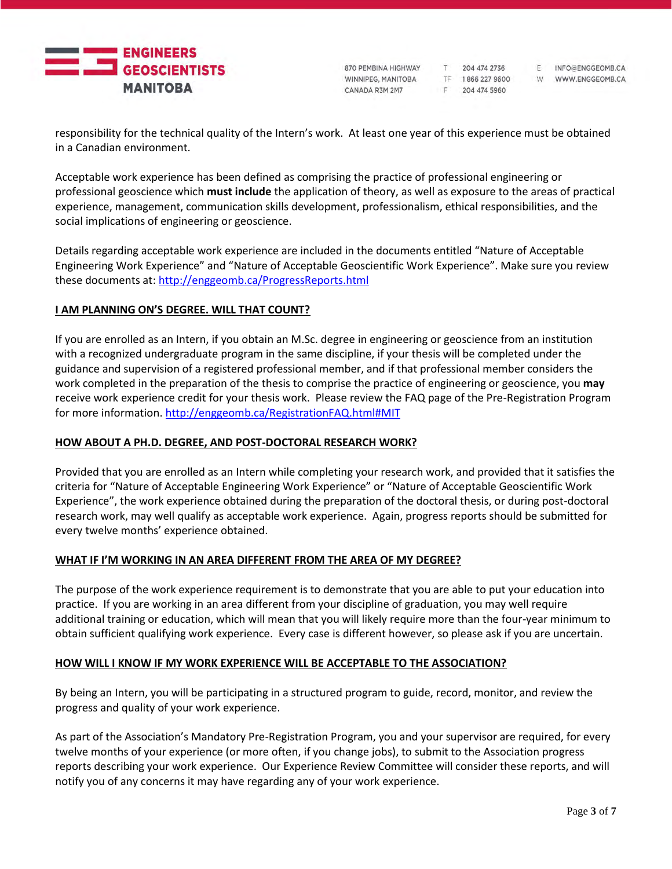

204 474 2736 TF 1866 227 9600 F 204 474 5960

T

F INFO@ENGGEOMB.CA W WWW.ENGGEOMB.CA

responsibility for the technical quality of the Intern's work. At least one year of this experience must be obtained in a Canadian environment.

Acceptable work experience has been defined as comprising the practice of professional engineering or professional geoscience which **must include** the application of theory, as well as exposure to the areas of practical experience, management, communication skills development, professionalism, ethical responsibilities, and the social implications of engineering or geoscience.

Details regarding acceptable work experience are included in the documents entitled "Nature of Acceptable Engineering Work Experience" and "Nature of Acceptable Geoscientific Work Experience". Make sure you review these documents at[: http://enggeomb.ca/ProgressReports.html](http://enggeomb.ca/ProgressReports.html)

# **I AM PLANNING ON'S DEGREE. WILL THAT COUNT?**

If you are enrolled as an Intern, if you obtain an M.Sc. degree in engineering or geoscience from an institution with a recognized undergraduate program in the same discipline, if your thesis will be completed under the guidance and supervision of a registered professional member, and if that professional member considers the work completed in the preparation of the thesis to comprise the practice of engineering or geoscience, you **may**  receive work experience credit for your thesis work. Please review the FAQ page of the Pre-Registration Program for more information[. http://enggeomb.ca/RegistrationFAQ.html#MIT](http://enggeomb.ca/RegistrationFAQ.html#MIT)

# **HOW ABOUT A PH.D. DEGREE, AND POST-DOCTORAL RESEARCH WORK?**

Provided that you are enrolled as an Intern while completing your research work, and provided that it satisfies the criteria for "Nature of Acceptable Engineering Work Experience" or "Nature of Acceptable Geoscientific Work Experience", the work experience obtained during the preparation of the doctoral thesis, or during post-doctoral research work, may well qualify as acceptable work experience. Again, progress reports should be submitted for every twelve months' experience obtained.

# **WHAT IF I'M WORKING IN AN AREA DIFFERENT FROM THE AREA OF MY DEGREE?**

The purpose of the work experience requirement is to demonstrate that you are able to put your education into practice. If you are working in an area different from your discipline of graduation, you may well require additional training or education, which will mean that you will likely require more than the four-year minimum to obtain sufficient qualifying work experience. Every case is different however, so please ask if you are uncertain.

# **HOW WILL I KNOW IF MY WORK EXPERIENCE WILL BE ACCEPTABLE TO THE ASSOCIATION?**

By being an Intern, you will be participating in a structured program to guide, record, monitor, and review the progress and quality of your work experience.

As part of the Association's Mandatory Pre-Registration Program, you and your supervisor are required, for every twelve months of your experience (or more often, if you change jobs), to submit to the Association progress reports describing your work experience. Our Experience Review Committee will consider these reports, and will notify you of any concerns it may have regarding any of your work experience.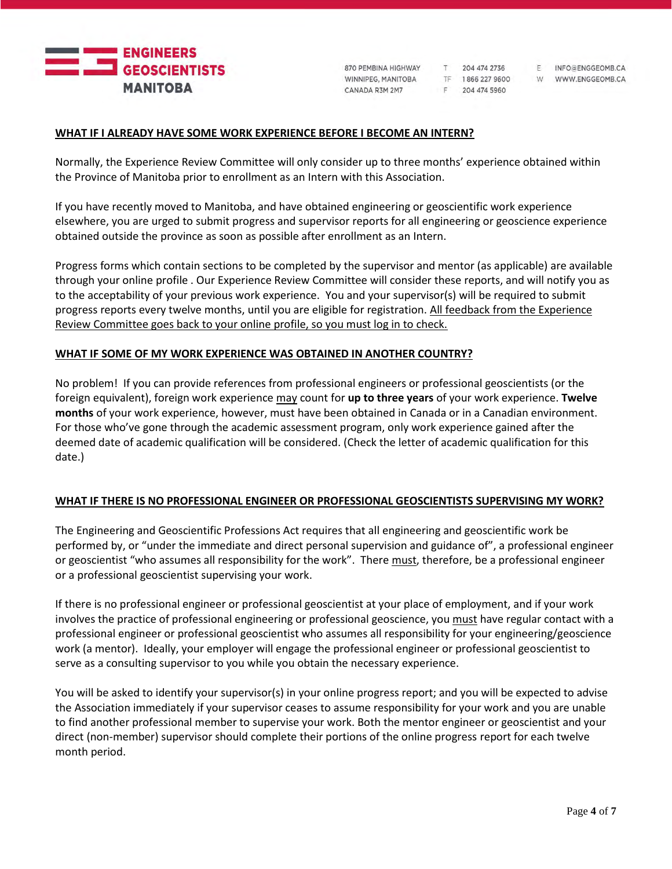

204 474 2736 TF 1866 227 9600 F 204 474 5960

 $T$ 

F INFO@ENGGEOMB.CA W WWW.ENGGEOMB.CA

### **WHAT IF I ALREADY HAVE SOME WORK EXPERIENCE BEFORE I BECOME AN INTERN?**

Normally, the Experience Review Committee will only consider up to three months' experience obtained within the Province of Manitoba prior to enrollment as an Intern with this Association.

If you have recently moved to Manitoba, and have obtained engineering or geoscientific work experience elsewhere, you are urged to submit progress and supervisor reports for all engineering or geoscience experience obtained outside the province as soon as possible after enrollment as an Intern.

Progress forms which contain sections to be completed by the supervisor and mentor (as applicable) are available through your online profile . Our Experience Review Committee will consider these reports, and will notify you as to the acceptability of your previous work experience. You and your supervisor(s) will be required to submit progress reports every twelve months, until you are eligible for registration. All feedback from the Experience Review Committee goes back to your online profile, so you must log in to check.

## **WHAT IF SOME OF MY WORK EXPERIENCE WAS OBTAINED IN ANOTHER COUNTRY?**

No problem! If you can provide references from professional engineers or professional geoscientists (or the foreign equivalent), foreign work experience may count for **up to three years** of your work experience. **Twelve months** of your work experience, however, must have been obtained in Canada or in a Canadian environment. For those who've gone through the academic assessment program, only work experience gained after the deemed date of academic qualification will be considered. (Check the letter of academic qualification for this date.)

#### **WHAT IF THERE IS NO PROFESSIONAL ENGINEER OR PROFESSIONAL GEOSCIENTISTS SUPERVISING MY WORK?**

The Engineering and Geoscientific Professions Act requires that all engineering and geoscientific work be performed by, or "under the immediate and direct personal supervision and guidance of", a professional engineer or geoscientist "who assumes all responsibility for the work". There must, therefore, be a professional engineer or a professional geoscientist supervising your work.

If there is no professional engineer or professional geoscientist at your place of employment, and if your work involves the practice of professional engineering or professional geoscience, you must have regular contact with a professional engineer or professional geoscientist who assumes all responsibility for your engineering/geoscience work (a mentor). Ideally, your employer will engage the professional engineer or professional geoscientist to serve as a consulting supervisor to you while you obtain the necessary experience.

You will be asked to identify your supervisor(s) in your online progress report; and you will be expected to advise the Association immediately if your supervisor ceases to assume responsibility for your work and you are unable to find another professional member to supervise your work. Both the mentor engineer or geoscientist and your direct (non-member) supervisor should complete their portions of the online progress report for each twelve month period.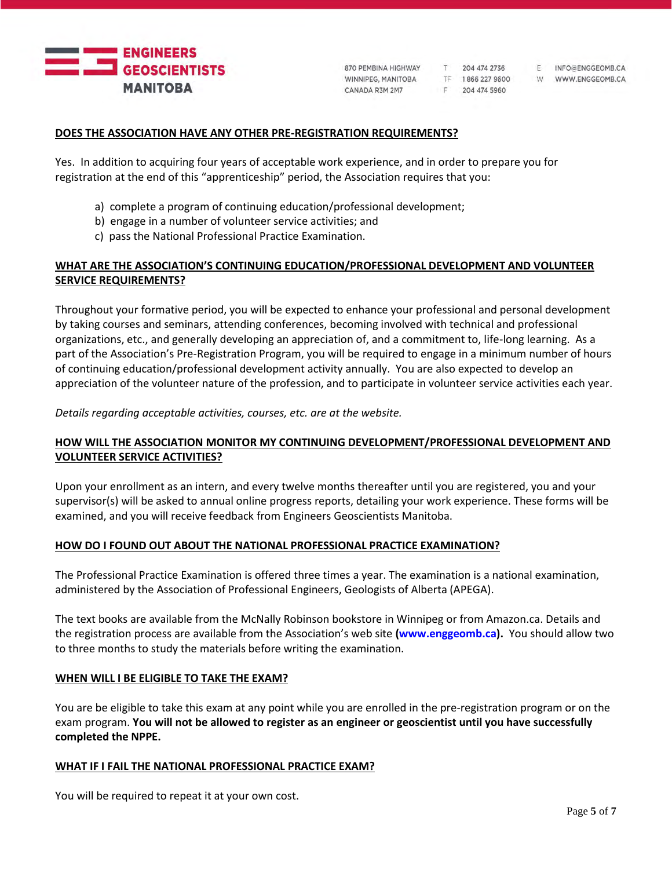

T 204 474 2736 TF 1866 227 9600 F 204 474 5960

F INFO@ENGGEOMB.CA W WWW.ENGGEOMB.CA

## **DOES THE ASSOCIATION HAVE ANY OTHER PRE-REGISTRATION REQUIREMENTS?**

Yes. In addition to acquiring four years of acceptable work experience, and in order to prepare you for registration at the end of this "apprenticeship" period, the Association requires that you:

- a) complete a program of continuing education/professional development;
- b) engage in a number of volunteer service activities; and
- c) pass the National Professional Practice Examination.

# **WHAT ARE THE ASSOCIATION'S CONTINUING EDUCATION/PROFESSIONAL DEVELOPMENT AND VOLUNTEER SERVICE REQUIREMENTS?**

Throughout your formative period, you will be expected to enhance your professional and personal development by taking courses and seminars, attending conferences, becoming involved with technical and professional organizations, etc., and generally developing an appreciation of, and a commitment to, life-long learning. As a part of the Association's Pre-Registration Program, you will be required to engage in a minimum number of hours of continuing education/professional development activity annually. You are also expected to develop an appreciation of the volunteer nature of the profession, and to participate in volunteer service activities each year.

*Details regarding acceptable activities, courses, etc. are at the website.*

# **HOW WILL THE ASSOCIATION MONITOR MY CONTINUING DEVELOPMENT/PROFESSIONAL DEVELOPMENT AND VOLUNTEER SERVICE ACTIVITIES?**

Upon your enrollment as an intern, and every twelve months thereafter until you are registered, you and your supervisor(s) will be asked to annual online progress reports, detailing your work experience. These forms will be examined, and you will receive feedback from Engineers Geoscientists Manitoba.

#### **HOW DO I FOUND OUT ABOUT THE NATIONAL PROFESSIONAL PRACTICE EXAMINATION?**

The Professional Practice Examination is offered three times a year. The examination is a national examination, administered by the Association of Professional Engineers, Geologists of Alberta (APEGA).

The text books are available from the McNally Robinson bookstore in Winnipeg or from Amazon.ca. Details and the registration process are available from the Association's web site **(www.enggeomb.ca).** You should allow two to three months to study the materials before writing the examination.

#### **WHEN WILL I BE ELIGIBLE TO TAKE THE EXAM?**

You are be eligible to take this exam at any point while you are enrolled in the pre-registration program or on the exam program. **You will not be allowed to register as an engineer or geoscientist until you have successfully completed the NPPE.**

#### **WHAT IF I FAIL THE NATIONAL PROFESSIONAL PRACTICE EXAM?**

You will be required to repeat it at your own cost.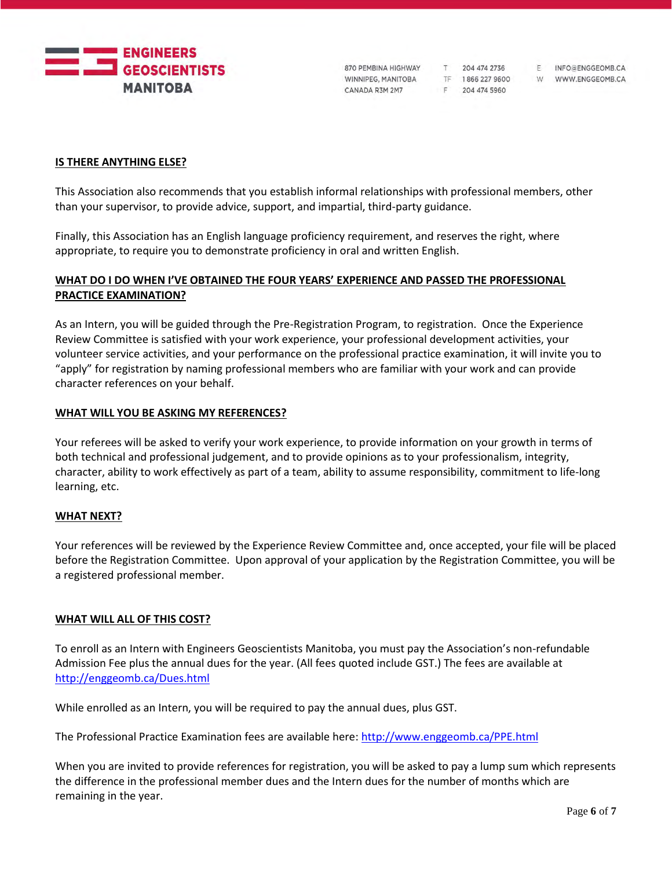

T 204 474 2736 F 204 474 5960

F INFO@ENGGEOMB.CA TF 1866 227 9600 W WWW.ENGGEOMB.CA

## **IS THERE ANYTHING ELSE?**

This Association also recommends that you establish informal relationships with professional members, other than your supervisor, to provide advice, support, and impartial, third-party guidance.

Finally, this Association has an English language proficiency requirement, and reserves the right, where appropriate, to require you to demonstrate proficiency in oral and written English.

# **WHAT DO I DO WHEN I'VE OBTAINED THE FOUR YEARS' EXPERIENCE AND PASSED THE PROFESSIONAL PRACTICE EXAMINATION?**

As an Intern, you will be guided through the Pre-Registration Program, to registration. Once the Experience Review Committee is satisfied with your work experience, your professional development activities, your volunteer service activities, and your performance on the professional practice examination, it will invite you to "apply" for registration by naming professional members who are familiar with your work and can provide character references on your behalf.

## **WHAT WILL YOU BE ASKING MY REFERENCES?**

Your referees will be asked to verify your work experience, to provide information on your growth in terms of both technical and professional judgement, and to provide opinions as to your professionalism, integrity, character, ability to work effectively as part of a team, ability to assume responsibility, commitment to life-long learning, etc.

#### **WHAT NEXT?**

Your references will be reviewed by the Experience Review Committee and, once accepted, your file will be placed before the Registration Committee. Upon approval of your application by the Registration Committee, you will be a registered professional member.

#### **WHAT WILL ALL OF THIS COST?**

To enroll as an Intern with Engineers Geoscientists Manitoba, you must pay the Association's non-refundable Admission Fee plus the annual dues for the year. (All fees quoted include GST.) The fees are available at <http://enggeomb.ca/Dues.html>

While enrolled as an Intern, you will be required to pay the annual dues, plus GST.

The Professional Practice Examination fees are available here:<http://www.enggeomb.ca/PPE.html>

When you are invited to provide references for registration, you will be asked to pay a lump sum which represents the difference in the professional member dues and the Intern dues for the number of months which are remaining in the year.